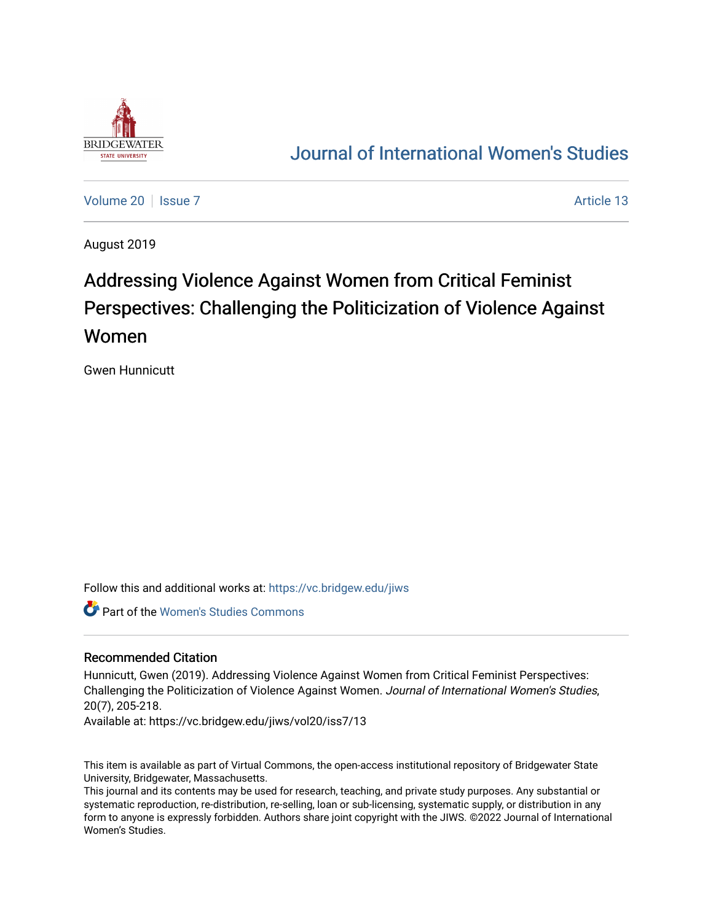

# [Journal of International Women's Studies](https://vc.bridgew.edu/jiws)

[Volume 20](https://vc.bridgew.edu/jiws/vol20) | [Issue 7](https://vc.bridgew.edu/jiws/vol20/iss7) Article 13

August 2019

# Addressing Violence Against Women from Critical Feminist Perspectives: Challenging the Politicization of Violence Against Women

Gwen Hunnicutt

Follow this and additional works at: [https://vc.bridgew.edu/jiws](https://vc.bridgew.edu/jiws?utm_source=vc.bridgew.edu%2Fjiws%2Fvol20%2Fiss7%2F13&utm_medium=PDF&utm_campaign=PDFCoverPages)

Part of the [Women's Studies Commons](http://network.bepress.com/hgg/discipline/561?utm_source=vc.bridgew.edu%2Fjiws%2Fvol20%2Fiss7%2F13&utm_medium=PDF&utm_campaign=PDFCoverPages) 

#### Recommended Citation

Hunnicutt, Gwen (2019). Addressing Violence Against Women from Critical Feminist Perspectives: Challenging the Politicization of Violence Against Women. Journal of International Women's Studies, 20(7), 205-218.

Available at: https://vc.bridgew.edu/jiws/vol20/iss7/13

This item is available as part of Virtual Commons, the open-access institutional repository of Bridgewater State University, Bridgewater, Massachusetts.

This journal and its contents may be used for research, teaching, and private study purposes. Any substantial or systematic reproduction, re-distribution, re-selling, loan or sub-licensing, systematic supply, or distribution in any form to anyone is expressly forbidden. Authors share joint copyright with the JIWS. ©2022 Journal of International Women's Studies.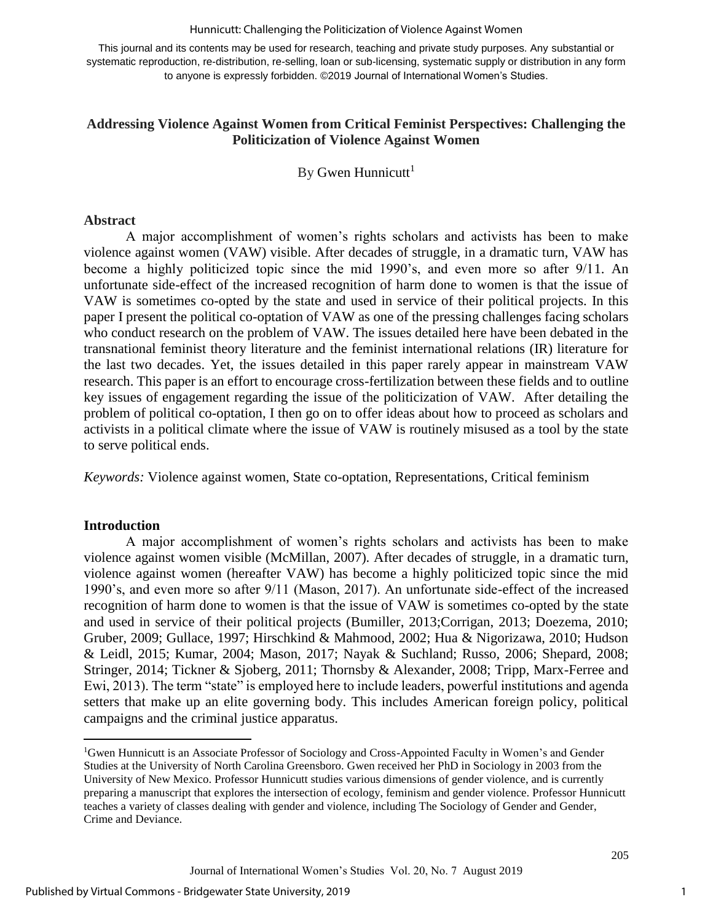#### Hunnicutt: Challenging the Politicization of Violence Against Women

This journal and its contents may be used for research, teaching and private study purposes. Any substantial or systematic reproduction, re-distribution, re-selling, loan or sub-licensing, systematic supply or distribution in any form to anyone is expressly forbidden. ©2019 Journal of International Women's Studies.

# **Addressing Violence Against Women from Critical Feminist Perspectives: Challenging the Politicization of Violence Against Women**

By Gwen Hunnicutt<sup>1</sup>

#### **Abstract**

A major accomplishment of women's rights scholars and activists has been to make violence against women (VAW) visible. After decades of struggle, in a dramatic turn, VAW has become a highly politicized topic since the mid 1990's, and even more so after 9/11. An unfortunate side-effect of the increased recognition of harm done to women is that the issue of VAW is sometimes co-opted by the state and used in service of their political projects. In this paper I present the political co-optation of VAW as one of the pressing challenges facing scholars who conduct research on the problem of VAW. The issues detailed here have been debated in the transnational feminist theory literature and the feminist international relations (IR) literature for the last two decades. Yet, the issues detailed in this paper rarely appear in mainstream VAW research. This paper is an effort to encourage cross-fertilization between these fields and to outline key issues of engagement regarding the issue of the politicization of VAW. After detailing the problem of political co-optation, I then go on to offer ideas about how to proceed as scholars and activists in a political climate where the issue of VAW is routinely misused as a tool by the state to serve political ends.

*Keywords:* Violence against women, State co-optation, Representations, Critical feminism

#### **Introduction**

 $\overline{a}$ 

A major accomplishment of women's rights scholars and activists has been to make violence against women visible (McMillan, 2007). After decades of struggle, in a dramatic turn, violence against women (hereafter VAW) has become a highly politicized topic since the mid 1990's, and even more so after 9/11 (Mason, 2017). An unfortunate side-effect of the increased recognition of harm done to women is that the issue of VAW is sometimes co-opted by the state and used in service of their political projects (Bumiller, 2013;Corrigan, 2013; Doezema, 2010; Gruber, 2009; Gullace, 1997; Hirschkind & Mahmood, 2002; Hua & Nigorizawa, 2010; Hudson & Leidl, 2015; Kumar, 2004; Mason, 2017; Nayak & Suchland; Russo, 2006; Shepard, 2008; Stringer, 2014; Tickner & Sjoberg, 2011; Thornsby & Alexander, 2008; Tripp, Marx-Ferree and Ewi, 2013). The term "state" is employed here to include leaders, powerful institutions and agenda setters that make up an elite governing body. This includes American foreign policy, political campaigns and the criminal justice apparatus.

<sup>1</sup>Gwen Hunnicutt is an Associate Professor of Sociology and Cross-Appointed Faculty in Women's and Gender Studies at the University of North Carolina Greensboro. Gwen received her PhD in Sociology in 2003 from the University of New Mexico. Professor Hunnicutt studies various dimensions of gender violence, and is currently preparing a manuscript that explores the intersection of ecology, feminism and gender violence. Professor Hunnicutt teaches a variety of classes dealing with gender and violence, including The Sociology of Gender and Gender, Crime and Deviance.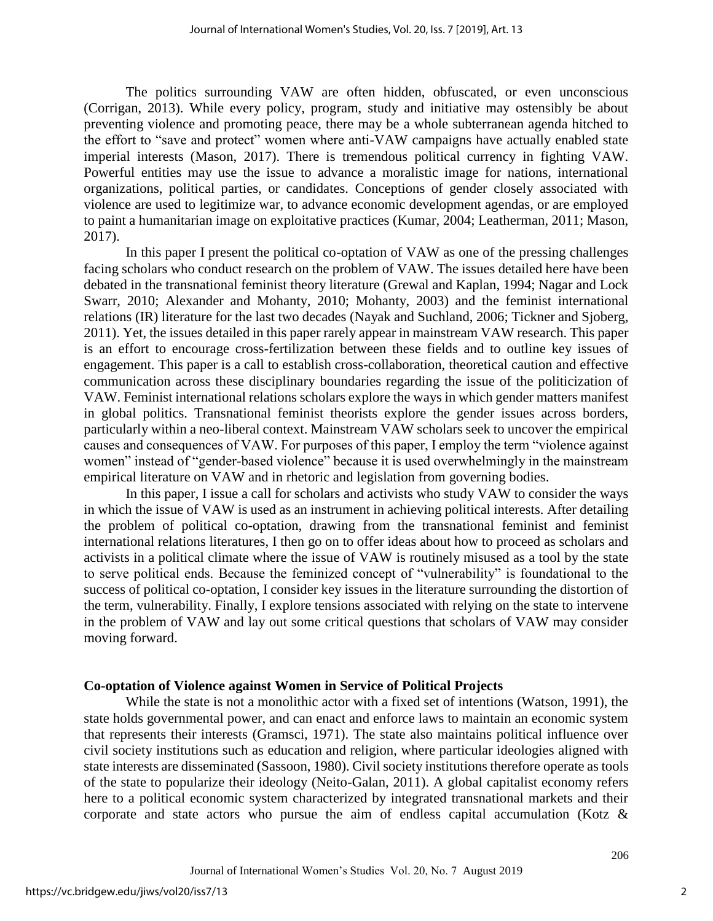The politics surrounding VAW are often hidden, obfuscated, or even unconscious (Corrigan, 2013). While every policy, program, study and initiative may ostensibly be about preventing violence and promoting peace, there may be a whole subterranean agenda hitched to the effort to "save and protect" women where anti-VAW campaigns have actually enabled state imperial interests (Mason, 2017). There is tremendous political currency in fighting VAW. Powerful entities may use the issue to advance a moralistic image for nations, international organizations, political parties, or candidates. Conceptions of gender closely associated with violence are used to legitimize war, to advance economic development agendas, or are employed to paint a humanitarian image on exploitative practices (Kumar, 2004; Leatherman, 2011; Mason, 2017).

In this paper I present the political co-optation of VAW as one of the pressing challenges facing scholars who conduct research on the problem of VAW. The issues detailed here have been debated in the transnational feminist theory literature (Grewal and Kaplan, 1994; Nagar and Lock Swarr, 2010; Alexander and Mohanty, 2010; Mohanty, 2003) and the feminist international relations (IR) literature for the last two decades (Nayak and Suchland, 2006; Tickner and Sjoberg, 2011). Yet, the issues detailed in this paper rarely appear in mainstream VAW research. This paper is an effort to encourage cross-fertilization between these fields and to outline key issues of engagement. This paper is a call to establish cross-collaboration, theoretical caution and effective communication across these disciplinary boundaries regarding the issue of the politicization of VAW. Feminist international relations scholars explore the ways in which gender matters manifest in global politics. Transnational feminist theorists explore the gender issues across borders, particularly within a neo-liberal context. Mainstream VAW scholars seek to uncover the empirical causes and consequences of VAW. For purposes of this paper, I employ the term "violence against women" instead of "gender-based violence" because it is used overwhelmingly in the mainstream empirical literature on VAW and in rhetoric and legislation from governing bodies.

In this paper, I issue a call for scholars and activists who study VAW to consider the ways in which the issue of VAW is used as an instrument in achieving political interests. After detailing the problem of political co-optation, drawing from the transnational feminist and feminist international relations literatures, I then go on to offer ideas about how to proceed as scholars and activists in a political climate where the issue of VAW is routinely misused as a tool by the state to serve political ends. Because the feminized concept of "vulnerability" is foundational to the success of political co-optation, I consider key issues in the literature surrounding the distortion of the term, vulnerability. Finally, I explore tensions associated with relying on the state to intervene in the problem of VAW and lay out some critical questions that scholars of VAW may consider moving forward.

# **Co-optation of Violence against Women in Service of Political Projects**

While the state is not a monolithic actor with a fixed set of intentions (Watson, 1991), the state holds governmental power, and can enact and enforce laws to maintain an economic system that represents their interests (Gramsci, 1971). The state also maintains political influence over civil society institutions such as education and religion, where particular ideologies aligned with state interests are disseminated (Sassoon, 1980). Civil society institutions therefore operate as tools of the state to popularize their ideology (Neito-Galan, 2011). A global capitalist economy refers here to a political economic system characterized by integrated transnational markets and their corporate and state actors who pursue the aim of endless capital accumulation (Kotz &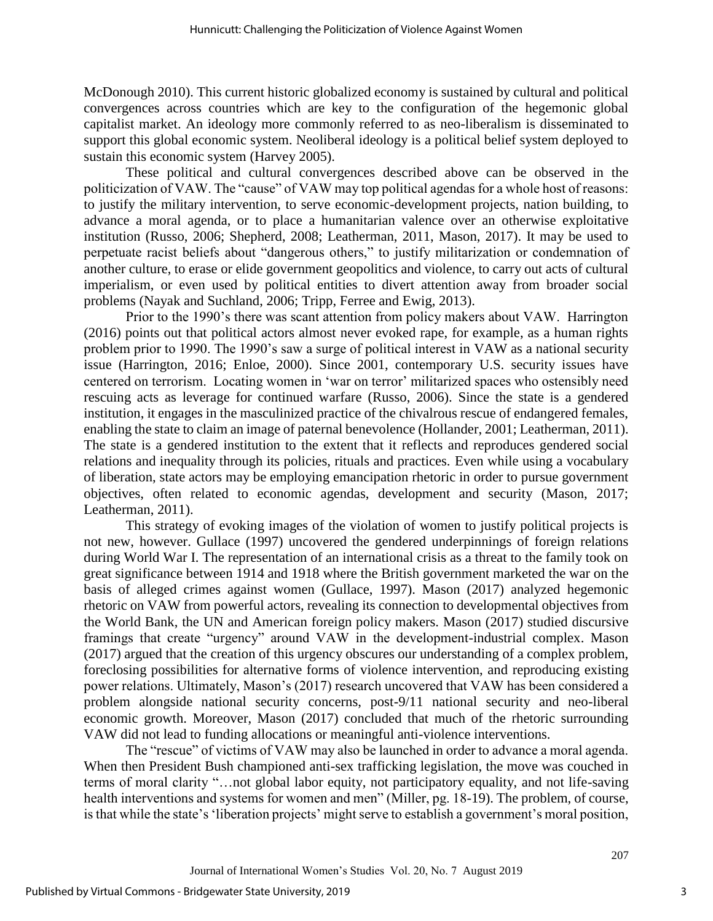McDonough 2010). This current historic globalized economy is sustained by cultural and political convergences across countries which are key to the configuration of the hegemonic global capitalist market. An ideology more commonly referred to as neo-liberalism is disseminated to support this global economic system. Neoliberal ideology is a political belief system deployed to sustain this economic system (Harvey 2005).

These political and cultural convergences described above can be observed in the politicization of VAW. The "cause" of VAW may top political agendas for a whole host of reasons: to justify the military intervention, to serve economic-development projects, nation building, to advance a moral agenda, or to place a humanitarian valence over an otherwise exploitative institution (Russo, 2006; Shepherd, 2008; Leatherman, 2011, Mason, 2017). It may be used to perpetuate racist beliefs about "dangerous others," to justify militarization or condemnation of another culture, to erase or elide government geopolitics and violence, to carry out acts of cultural imperialism, or even used by political entities to divert attention away from broader social problems (Nayak and Suchland, 2006; Tripp, Ferree and Ewig, 2013).

Prior to the 1990's there was scant attention from policy makers about VAW. Harrington (2016) points out that political actors almost never evoked rape, for example, as a human rights problem prior to 1990. The 1990's saw a surge of political interest in VAW as a national security issue (Harrington, 2016; Enloe, 2000). Since 2001, contemporary U.S. security issues have centered on terrorism. Locating women in 'war on terror' militarized spaces who ostensibly need rescuing acts as leverage for continued warfare (Russo, 2006). Since the state is a gendered institution, it engages in the masculinized practice of the chivalrous rescue of endangered females, enabling the state to claim an image of paternal benevolence (Hollander, 2001; Leatherman, 2011). The state is a gendered institution to the extent that it reflects and reproduces gendered social relations and inequality through its policies, rituals and practices. Even while using a vocabulary of liberation, state actors may be employing emancipation rhetoric in order to pursue government objectives, often related to economic agendas, development and security (Mason, 2017; Leatherman, 2011).

This strategy of evoking images of the violation of women to justify political projects is not new, however. Gullace (1997) uncovered the gendered underpinnings of foreign relations during World War I. The representation of an international crisis as a threat to the family took on great significance between 1914 and 1918 where the British government marketed the war on the basis of alleged crimes against women (Gullace, 1997). Mason (2017) analyzed hegemonic rhetoric on VAW from powerful actors, revealing its connection to developmental objectives from the World Bank, the UN and American foreign policy makers. Mason (2017) studied discursive framings that create "urgency" around VAW in the development-industrial complex. Mason (2017) argued that the creation of this urgency obscures our understanding of a complex problem, foreclosing possibilities for alternative forms of violence intervention, and reproducing existing power relations. Ultimately, Mason's (2017) research uncovered that VAW has been considered a problem alongside national security concerns, post-9/11 national security and neo-liberal economic growth. Moreover, Mason (2017) concluded that much of the rhetoric surrounding VAW did not lead to funding allocations or meaningful anti-violence interventions.

The "rescue" of victims of VAW may also be launched in order to advance a moral agenda. When then President Bush championed anti-sex trafficking legislation, the move was couched in terms of moral clarity "…not global labor equity, not participatory equality, and not life-saving health interventions and systems for women and men" (Miller, pg. 18-19). The problem, of course, is that while the state's 'liberation projects' might serve to establish a government's moral position,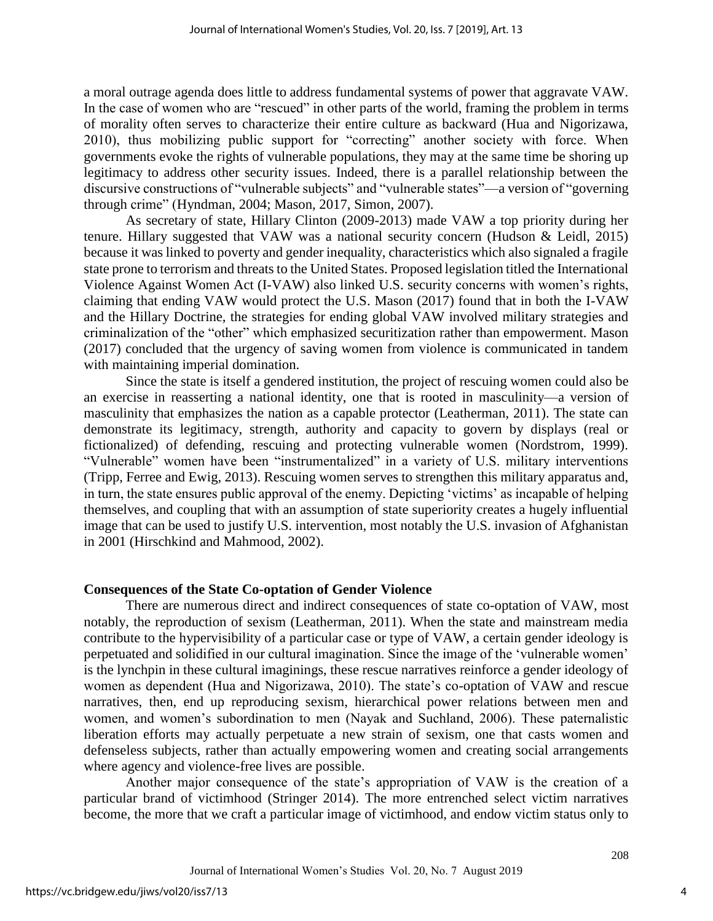a moral outrage agenda does little to address fundamental systems of power that aggravate VAW. In the case of women who are "rescued" in other parts of the world, framing the problem in terms of morality often serves to characterize their entire culture as backward (Hua and Nigorizawa, 2010), thus mobilizing public support for "correcting" another society with force. When governments evoke the rights of vulnerable populations, they may at the same time be shoring up legitimacy to address other security issues. Indeed, there is a parallel relationship between the discursive constructions of "vulnerable subjects" and "vulnerable states"—a version of "governing through crime" (Hyndman, 2004; Mason, 2017, Simon, 2007).

As secretary of state, Hillary Clinton (2009-2013) made VAW a top priority during her tenure. Hillary suggested that VAW was a national security concern (Hudson & Leidl, 2015) because it was linked to poverty and gender inequality, characteristics which also signaled a fragile state prone to terrorism and threats to the United States. Proposed legislation titled the International Violence Against Women Act (I-VAW) also linked U.S. security concerns with women's rights, claiming that ending VAW would protect the U.S. Mason (2017) found that in both the I-VAW and the Hillary Doctrine, the strategies for ending global VAW involved military strategies and criminalization of the "other" which emphasized securitization rather than empowerment. Mason (2017) concluded that the urgency of saving women from violence is communicated in tandem with maintaining imperial domination.

Since the state is itself a gendered institution, the project of rescuing women could also be an exercise in reasserting a national identity, one that is rooted in masculinity—a version of masculinity that emphasizes the nation as a capable protector (Leatherman, 2011). The state can demonstrate its legitimacy, strength, authority and capacity to govern by displays (real or fictionalized) of defending, rescuing and protecting vulnerable women (Nordstrom, 1999). "Vulnerable" women have been "instrumentalized" in a variety of U.S. military interventions (Tripp, Ferree and Ewig, 2013). Rescuing women serves to strengthen this military apparatus and, in turn, the state ensures public approval of the enemy. Depicting 'victims' as incapable of helping themselves, and coupling that with an assumption of state superiority creates a hugely influential image that can be used to justify U.S. intervention, most notably the U.S. invasion of Afghanistan in 2001 (Hirschkind and Mahmood, 2002).

# **Consequences of the State Co-optation of Gender Violence**

There are numerous direct and indirect consequences of state co-optation of VAW, most notably, the reproduction of sexism (Leatherman, 2011). When the state and mainstream media contribute to the hypervisibility of a particular case or type of VAW, a certain gender ideology is perpetuated and solidified in our cultural imagination. Since the image of the 'vulnerable women' is the lynchpin in these cultural imaginings, these rescue narratives reinforce a gender ideology of women as dependent (Hua and Nigorizawa, 2010). The state's co-optation of VAW and rescue narratives, then, end up reproducing sexism, hierarchical power relations between men and women, and women's subordination to men (Nayak and Suchland, 2006). These paternalistic liberation efforts may actually perpetuate a new strain of sexism, one that casts women and defenseless subjects, rather than actually empowering women and creating social arrangements where agency and violence-free lives are possible.

Another major consequence of the state's appropriation of VAW is the creation of a particular brand of victimhood (Stringer 2014). The more entrenched select victim narratives become, the more that we craft a particular image of victimhood, and endow victim status only to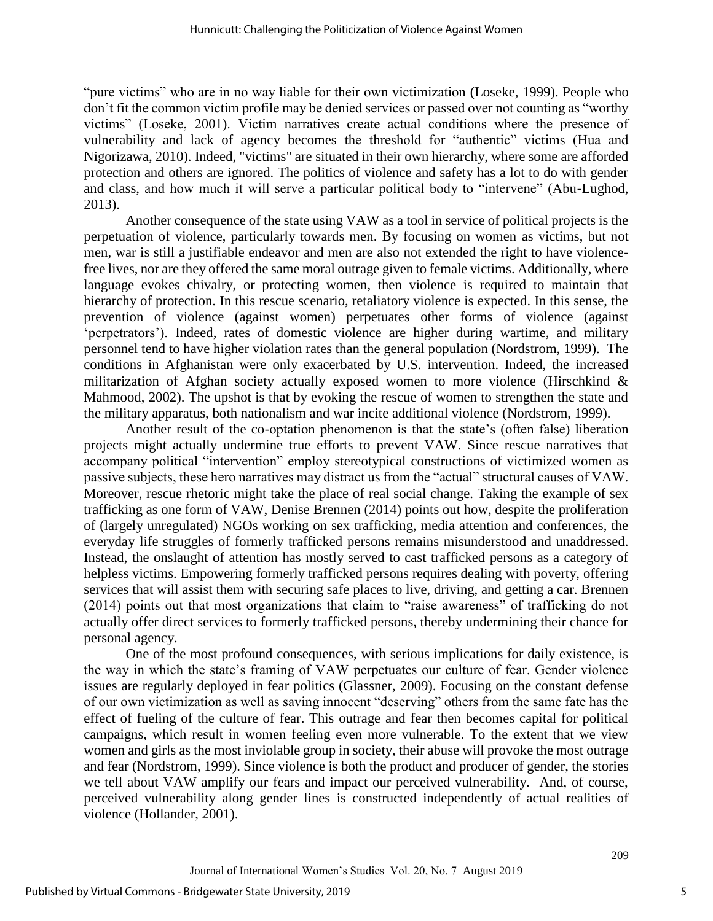"pure victims" who are in no way liable for their own victimization (Loseke, 1999). People who don't fit the common victim profile may be denied services or passed over not counting as "worthy victims" (Loseke, 2001). Victim narratives create actual conditions where the presence of vulnerability and lack of agency becomes the threshold for "authentic" victims (Hua and Nigorizawa, 2010). Indeed, "victims" are situated in their own hierarchy, where some are afforded protection and others are ignored. The politics of violence and safety has a lot to do with gender and class, and how much it will serve a particular political body to "intervene" (Abu-Lughod, 2013).

Another consequence of the state using VAW as a tool in service of political projects is the perpetuation of violence, particularly towards men. By focusing on women as victims, but not men, war is still a justifiable endeavor and men are also not extended the right to have violencefree lives, nor are they offered the same moral outrage given to female victims. Additionally, where language evokes chivalry, or protecting women, then violence is required to maintain that hierarchy of protection. In this rescue scenario, retaliatory violence is expected. In this sense, the prevention of violence (against women) perpetuates other forms of violence (against 'perpetrators'). Indeed, rates of domestic violence are higher during wartime, and military personnel tend to have higher violation rates than the general population (Nordstrom, 1999). The conditions in Afghanistan were only exacerbated by U.S. intervention. Indeed, the increased militarization of Afghan society actually exposed women to more violence (Hirschkind & Mahmood, 2002). The upshot is that by evoking the rescue of women to strengthen the state and the military apparatus, both nationalism and war incite additional violence (Nordstrom, 1999).

Another result of the co-optation phenomenon is that the state's (often false) liberation projects might actually undermine true efforts to prevent VAW. Since rescue narratives that accompany political "intervention" employ stereotypical constructions of victimized women as passive subjects, these hero narratives may distract us from the "actual" structural causes of VAW. Moreover, rescue rhetoric might take the place of real social change. Taking the example of sex trafficking as one form of VAW, Denise Brennen (2014) points out how, despite the proliferation of (largely unregulated) NGOs working on sex trafficking, media attention and conferences, the everyday life struggles of formerly trafficked persons remains misunderstood and unaddressed. Instead, the onslaught of attention has mostly served to cast trafficked persons as a category of helpless victims. Empowering formerly trafficked persons requires dealing with poverty, offering services that will assist them with securing safe places to live, driving, and getting a car. Brennen (2014) points out that most organizations that claim to "raise awareness" of trafficking do not actually offer direct services to formerly trafficked persons, thereby undermining their chance for personal agency.

One of the most profound consequences, with serious implications for daily existence, is the way in which the state's framing of VAW perpetuates our culture of fear. Gender violence issues are regularly deployed in fear politics (Glassner, 2009). Focusing on the constant defense of our own victimization as well as saving innocent "deserving" others from the same fate has the effect of fueling of the culture of fear. This outrage and fear then becomes capital for political campaigns, which result in women feeling even more vulnerable. To the extent that we view women and girls as the most inviolable group in society, their abuse will provoke the most outrage and fear (Nordstrom, 1999). Since violence is both the product and producer of gender, the stories we tell about VAW amplify our fears and impact our perceived vulnerability. And, of course, perceived vulnerability along gender lines is constructed independently of actual realities of violence (Hollander, 2001).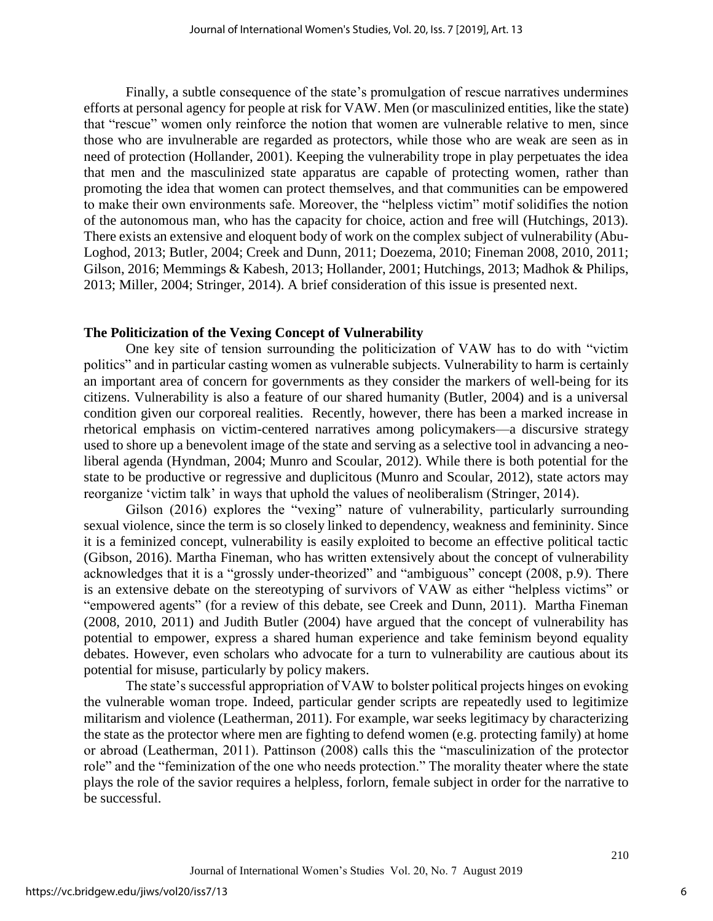Finally, a subtle consequence of the state's promulgation of rescue narratives undermines efforts at personal agency for people at risk for VAW. Men (or masculinized entities, like the state) that "rescue" women only reinforce the notion that women are vulnerable relative to men, since those who are invulnerable are regarded as protectors, while those who are weak are seen as in need of protection (Hollander, 2001). Keeping the vulnerability trope in play perpetuates the idea that men and the masculinized state apparatus are capable of protecting women, rather than promoting the idea that women can protect themselves, and that communities can be empowered to make their own environments safe. Moreover, the "helpless victim" motif solidifies the notion of the autonomous man, who has the capacity for choice, action and free will (Hutchings, 2013). There exists an extensive and eloquent body of work on the complex subject of vulnerability (Abu-Loghod, 2013; Butler, 2004; Creek and Dunn, 2011; Doezema, 2010; Fineman 2008, 2010, 2011; Gilson, 2016; Memmings & Kabesh, 2013; Hollander, 2001; Hutchings, 2013; Madhok & Philips, 2013; Miller, 2004; Stringer, 2014). A brief consideration of this issue is presented next.

### **The Politicization of the Vexing Concept of Vulnerability**

One key site of tension surrounding the politicization of VAW has to do with "victim politics" and in particular casting women as vulnerable subjects. Vulnerability to harm is certainly an important area of concern for governments as they consider the markers of well-being for its citizens. Vulnerability is also a feature of our shared humanity (Butler, 2004) and is a universal condition given our corporeal realities. Recently, however, there has been a marked increase in rhetorical emphasis on victim-centered narratives among policymakers—a discursive strategy used to shore up a benevolent image of the state and serving as a selective tool in advancing a neoliberal agenda (Hyndman, 2004; Munro and Scoular, 2012). While there is both potential for the state to be productive or regressive and duplicitous (Munro and Scoular, 2012), state actors may reorganize 'victim talk' in ways that uphold the values of neoliberalism (Stringer, 2014).

Gilson (2016) explores the "vexing" nature of vulnerability, particularly surrounding sexual violence, since the term is so closely linked to dependency, weakness and femininity. Since it is a feminized concept, vulnerability is easily exploited to become an effective political tactic (Gibson, 2016). Martha Fineman, who has written extensively about the concept of vulnerability acknowledges that it is a "grossly under-theorized" and "ambiguous" concept (2008, p.9). There is an extensive debate on the stereotyping of survivors of VAW as either "helpless victims" or "empowered agents" (for a review of this debate, see Creek and Dunn, 2011). Martha Fineman (2008, 2010, 2011) and Judith Butler (2004) have argued that the concept of vulnerability has potential to empower, express a shared human experience and take feminism beyond equality debates. However, even scholars who advocate for a turn to vulnerability are cautious about its potential for misuse, particularly by policy makers.

The state's successful appropriation of VAW to bolster political projects hinges on evoking the vulnerable woman trope. Indeed, particular gender scripts are repeatedly used to legitimize militarism and violence (Leatherman, 2011). For example, war seeks legitimacy by characterizing the state as the protector where men are fighting to defend women (e.g. protecting family) at home or abroad (Leatherman, 2011). Pattinson (2008) calls this the "masculinization of the protector role" and the "feminization of the one who needs protection." The morality theater where the state plays the role of the savior requires a helpless, forlorn, female subject in order for the narrative to be successful.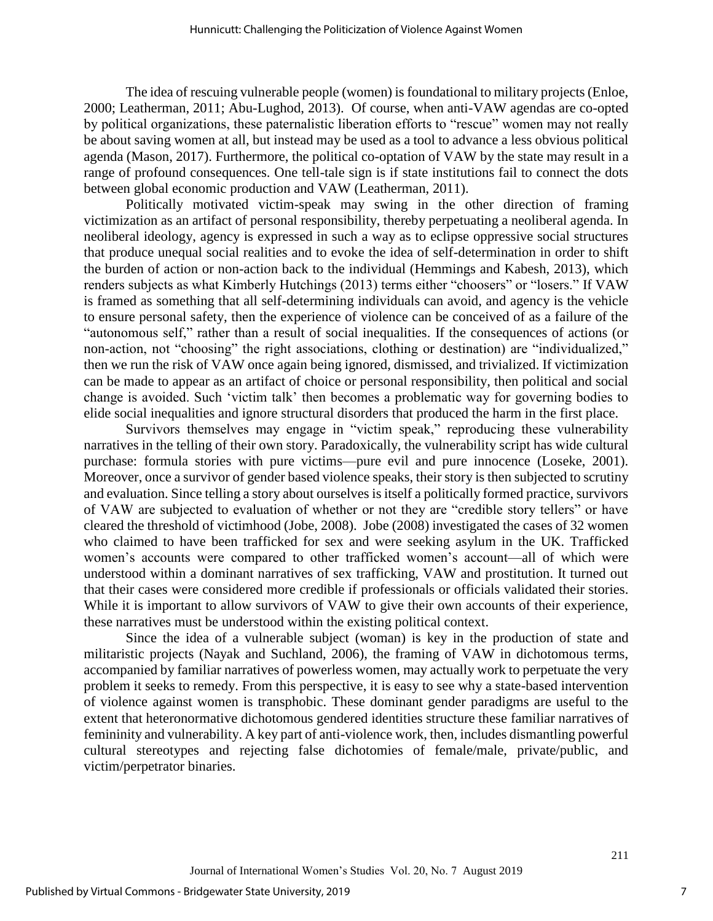The idea of rescuing vulnerable people (women) is foundational to military projects (Enloe, 2000; Leatherman, 2011; Abu-Lughod, 2013). Of course, when anti-VAW agendas are co-opted by political organizations, these paternalistic liberation efforts to "rescue" women may not really be about saving women at all, but instead may be used as a tool to advance a less obvious political agenda (Mason, 2017). Furthermore, the political co-optation of VAW by the state may result in a range of profound consequences. One tell-tale sign is if state institutions fail to connect the dots between global economic production and VAW (Leatherman, 2011).

Politically motivated victim-speak may swing in the other direction of framing victimization as an artifact of personal responsibility, thereby perpetuating a neoliberal agenda. In neoliberal ideology, agency is expressed in such a way as to eclipse oppressive social structures that produce unequal social realities and to evoke the idea of self-determination in order to shift the burden of action or non-action back to the individual (Hemmings and Kabesh, 2013), which renders subjects as what Kimberly Hutchings (2013) terms either "choosers" or "losers." If VAW is framed as something that all self-determining individuals can avoid, and agency is the vehicle to ensure personal safety, then the experience of violence can be conceived of as a failure of the "autonomous self," rather than a result of social inequalities. If the consequences of actions (or non-action, not "choosing" the right associations, clothing or destination) are "individualized," then we run the risk of VAW once again being ignored, dismissed, and trivialized. If victimization can be made to appear as an artifact of choice or personal responsibility, then political and social change is avoided. Such 'victim talk' then becomes a problematic way for governing bodies to elide social inequalities and ignore structural disorders that produced the harm in the first place.

Survivors themselves may engage in "victim speak," reproducing these vulnerability narratives in the telling of their own story. Paradoxically, the vulnerability script has wide cultural purchase: formula stories with pure victims—pure evil and pure innocence (Loseke, 2001). Moreover, once a survivor of gender based violence speaks, their story is then subjected to scrutiny and evaluation. Since telling a story about ourselves is itself a politically formed practice, survivors of VAW are subjected to evaluation of whether or not they are "credible story tellers" or have cleared the threshold of victimhood (Jobe, 2008). Jobe (2008) investigated the cases of 32 women who claimed to have been trafficked for sex and were seeking asylum in the UK. Trafficked women's accounts were compared to other trafficked women's account—all of which were understood within a dominant narratives of sex trafficking, VAW and prostitution. It turned out that their cases were considered more credible if professionals or officials validated their stories. While it is important to allow survivors of VAW to give their own accounts of their experience, these narratives must be understood within the existing political context.

Since the idea of a vulnerable subject (woman) is key in the production of state and militaristic projects (Nayak and Suchland, 2006), the framing of VAW in dichotomous terms, accompanied by familiar narratives of powerless women, may actually work to perpetuate the very problem it seeks to remedy. From this perspective, it is easy to see why a state-based intervention of violence against women is transphobic. These dominant gender paradigms are useful to the extent that heteronormative dichotomous gendered identities structure these familiar narratives of femininity and vulnerability. A key part of anti-violence work, then, includes dismantling powerful cultural stereotypes and rejecting false dichotomies of female/male, private/public, and victim/perpetrator binaries.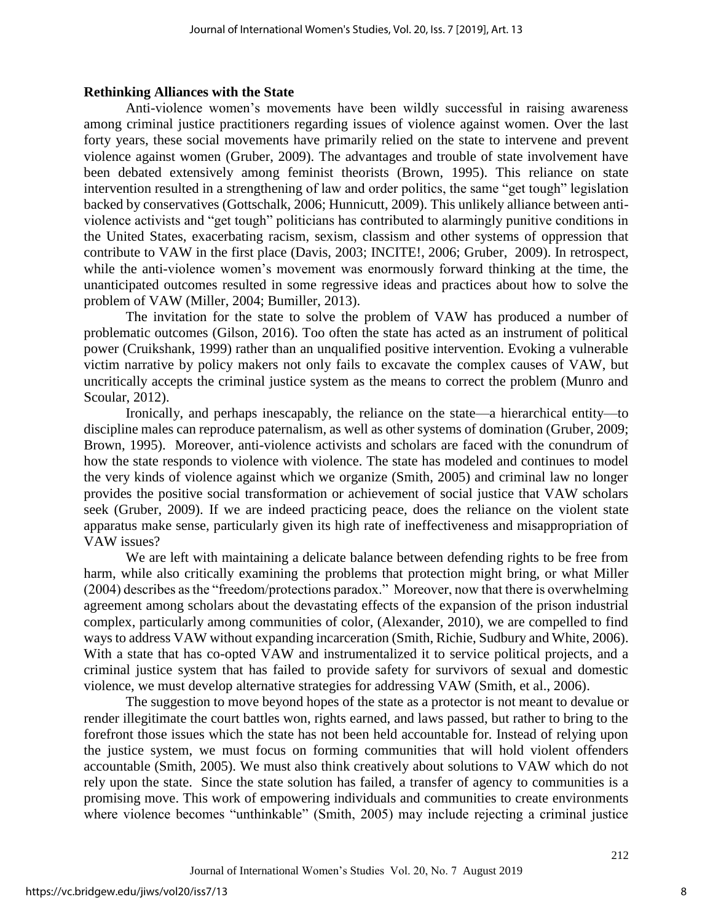### **Rethinking Alliances with the State**

Anti-violence women's movements have been wildly successful in raising awareness among criminal justice practitioners regarding issues of violence against women. Over the last forty years, these social movements have primarily relied on the state to intervene and prevent violence against women (Gruber, 2009). The advantages and trouble of state involvement have been debated extensively among feminist theorists (Brown, 1995). This reliance on state intervention resulted in a strengthening of law and order politics, the same "get tough" legislation backed by conservatives (Gottschalk, 2006; Hunnicutt, 2009). This unlikely alliance between antiviolence activists and "get tough" politicians has contributed to alarmingly punitive conditions in the United States, exacerbating racism, sexism, classism and other systems of oppression that contribute to VAW in the first place (Davis, 2003; INCITE!, 2006; Gruber, 2009). In retrospect, while the anti-violence women's movement was enormously forward thinking at the time, the unanticipated outcomes resulted in some regressive ideas and practices about how to solve the problem of VAW (Miller, 2004; Bumiller, 2013).

The invitation for the state to solve the problem of VAW has produced a number of problematic outcomes (Gilson, 2016). Too often the state has acted as an instrument of political power (Cruikshank, 1999) rather than an unqualified positive intervention. Evoking a vulnerable victim narrative by policy makers not only fails to excavate the complex causes of VAW, but uncritically accepts the criminal justice system as the means to correct the problem (Munro and Scoular, 2012).

Ironically, and perhaps inescapably, the reliance on the state—a hierarchical entity—to discipline males can reproduce paternalism, as well as other systems of domination (Gruber, 2009; Brown, 1995). Moreover, anti-violence activists and scholars are faced with the conundrum of how the state responds to violence with violence. The state has modeled and continues to model the very kinds of violence against which we organize (Smith, 2005) and criminal law no longer provides the positive social transformation or achievement of social justice that VAW scholars seek (Gruber, 2009). If we are indeed practicing peace, does the reliance on the violent state apparatus make sense, particularly given its high rate of ineffectiveness and misappropriation of VAW issues?

We are left with maintaining a delicate balance between defending rights to be free from harm, while also critically examining the problems that protection might bring, or what Miller (2004) describes as the "freedom/protections paradox." Moreover, now that there is overwhelming agreement among scholars about the devastating effects of the expansion of the prison industrial complex, particularly among communities of color, (Alexander, 2010), we are compelled to find ways to address VAW without expanding incarceration (Smith, Richie, Sudbury and White, 2006). With a state that has co-opted VAW and instrumentalized it to service political projects, and a criminal justice system that has failed to provide safety for survivors of sexual and domestic violence, we must develop alternative strategies for addressing VAW (Smith, et al., 2006).

The suggestion to move beyond hopes of the state as a protector is not meant to devalue or render illegitimate the court battles won, rights earned, and laws passed, but rather to bring to the forefront those issues which the state has not been held accountable for. Instead of relying upon the justice system, we must focus on forming communities that will hold violent offenders accountable (Smith, 2005). We must also think creatively about solutions to VAW which do not rely upon the state. Since the state solution has failed, a transfer of agency to communities is a promising move. This work of empowering individuals and communities to create environments where violence becomes "unthinkable" (Smith, 2005) may include rejecting a criminal justice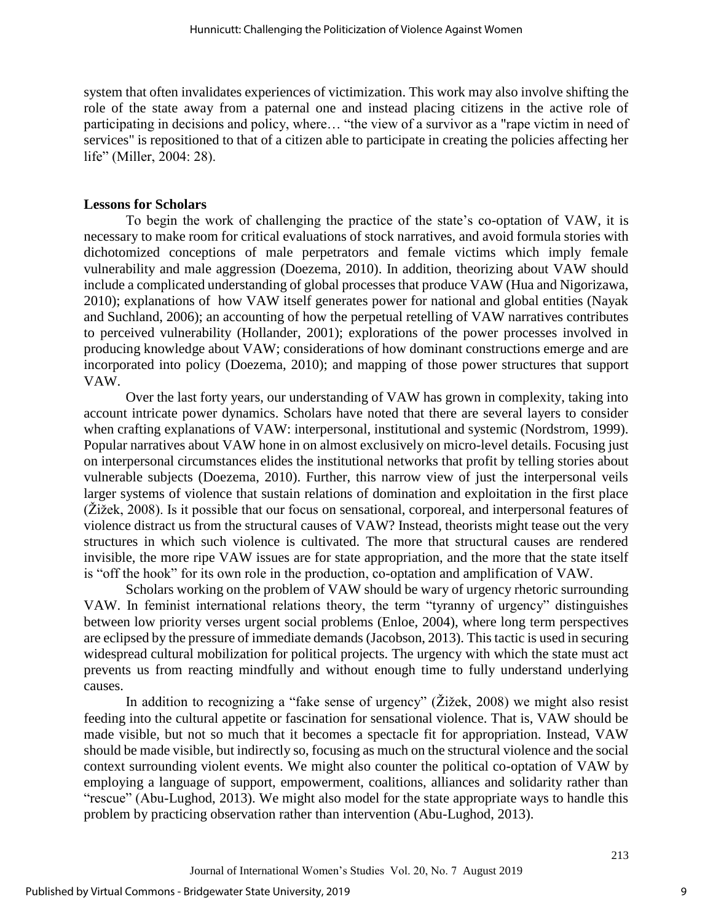system that often invalidates experiences of victimization. This work may also involve shifting the role of the state away from a paternal one and instead placing citizens in the active role of participating in decisions and policy, where… "the view of a survivor as a "rape victim in need of services" is repositioned to that of a citizen able to participate in creating the policies affecting her life" (Miller, 2004: 28).

### **Lessons for Scholars**

To begin the work of challenging the practice of the state's co-optation of VAW, it is necessary to make room for critical evaluations of stock narratives, and avoid formula stories with dichotomized conceptions of male perpetrators and female victims which imply female vulnerability and male aggression (Doezema, 2010). In addition, theorizing about VAW should include a complicated understanding of global processes that produce VAW (Hua and Nigorizawa, 2010); explanations of how VAW itself generates power for national and global entities (Nayak and Suchland, 2006); an accounting of how the perpetual retelling of VAW narratives contributes to perceived vulnerability (Hollander, 2001); explorations of the power processes involved in producing knowledge about VAW; considerations of how dominant constructions emerge and are incorporated into policy (Doezema, 2010); and mapping of those power structures that support VAW.

Over the last forty years, our understanding of VAW has grown in complexity, taking into account intricate power dynamics. Scholars have noted that there are several layers to consider when crafting explanations of VAW: interpersonal, institutional and systemic (Nordstrom, 1999). Popular narratives about VAW hone in on almost exclusively on micro-level details. Focusing just on interpersonal circumstances elides the institutional networks that profit by telling stories about vulnerable subjects (Doezema, 2010). Further, this narrow view of just the interpersonal veils larger systems of violence that sustain relations of domination and exploitation in the first place (Žižek, 2008). Is it possible that our focus on sensational, corporeal, and interpersonal features of violence distract us from the structural causes of VAW? Instead, theorists might tease out the very structures in which such violence is cultivated. The more that structural causes are rendered invisible, the more ripe VAW issues are for state appropriation, and the more that the state itself is "off the hook" for its own role in the production, co-optation and amplification of VAW.

Scholars working on the problem of VAW should be wary of urgency rhetoric surrounding VAW. In feminist international relations theory, the term "tyranny of urgency" distinguishes between low priority verses urgent social problems (Enloe, 2004), where long term perspectives are eclipsed by the pressure of immediate demands (Jacobson, 2013). This tactic is used in securing widespread cultural mobilization for political projects. The urgency with which the state must act prevents us from reacting mindfully and without enough time to fully understand underlying causes.

In addition to recognizing a "fake sense of urgency" (Žižek, 2008) we might also resist feeding into the cultural appetite or fascination for sensational violence. That is, VAW should be made visible, but not so much that it becomes a spectacle fit for appropriation. Instead, VAW should be made visible, but indirectly so, focusing as much on the structural violence and the social context surrounding violent events. We might also counter the political co-optation of VAW by employing a language of support, empowerment, coalitions, alliances and solidarity rather than "rescue" (Abu-Lughod, 2013). We might also model for the state appropriate ways to handle this problem by practicing observation rather than intervention (Abu-Lughod, 2013).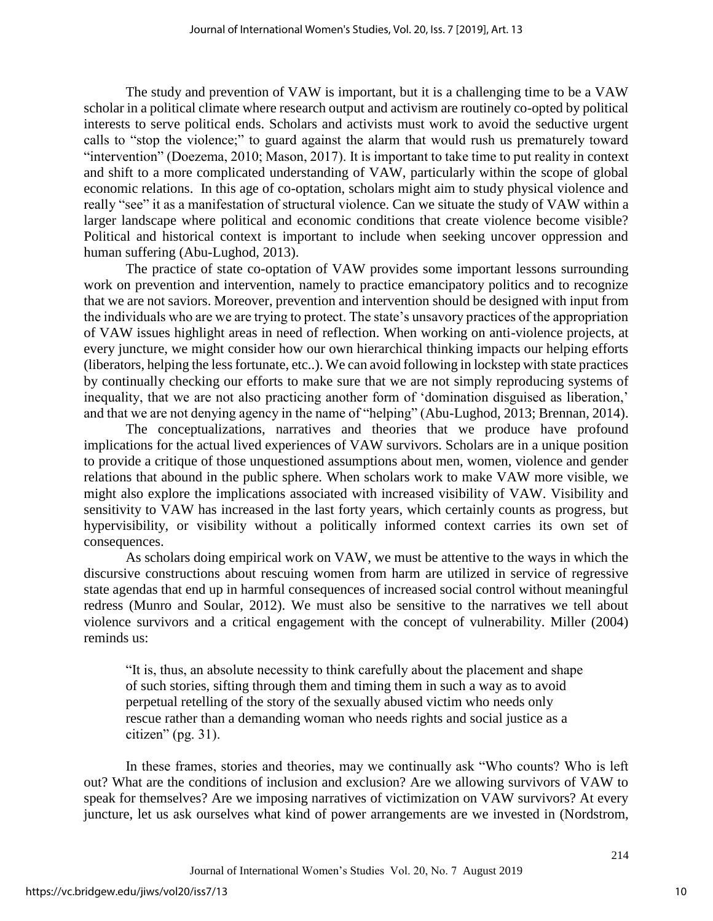The study and prevention of VAW is important, but it is a challenging time to be a VAW scholar in a political climate where research output and activism are routinely co-opted by political interests to serve political ends. Scholars and activists must work to avoid the seductive urgent calls to "stop the violence;" to guard against the alarm that would rush us prematurely toward "intervention" (Doezema, 2010; Mason, 2017). It is important to take time to put reality in context and shift to a more complicated understanding of VAW, particularly within the scope of global economic relations. In this age of co-optation, scholars might aim to study physical violence and really "see" it as a manifestation of structural violence. Can we situate the study of VAW within a larger landscape where political and economic conditions that create violence become visible? Political and historical context is important to include when seeking uncover oppression and human suffering (Abu-Lughod, 2013).

The practice of state co-optation of VAW provides some important lessons surrounding work on prevention and intervention, namely to practice emancipatory politics and to recognize that we are not saviors. Moreover, prevention and intervention should be designed with input from the individuals who are we are trying to protect. The state's unsavory practices of the appropriation of VAW issues highlight areas in need of reflection. When working on anti-violence projects, at every juncture, we might consider how our own hierarchical thinking impacts our helping efforts (liberators, helping the less fortunate, etc..). We can avoid following in lockstep with state practices by continually checking our efforts to make sure that we are not simply reproducing systems of inequality, that we are not also practicing another form of 'domination disguised as liberation,' and that we are not denying agency in the name of "helping" (Abu-Lughod, 2013; Brennan, 2014).

The conceptualizations, narratives and theories that we produce have profound implications for the actual lived experiences of VAW survivors. Scholars are in a unique position to provide a critique of those unquestioned assumptions about men, women, violence and gender relations that abound in the public sphere. When scholars work to make VAW more visible, we might also explore the implications associated with increased visibility of VAW. Visibility and sensitivity to VAW has increased in the last forty years, which certainly counts as progress, but hypervisibility, or visibility without a politically informed context carries its own set of consequences.

As scholars doing empirical work on VAW, we must be attentive to the ways in which the discursive constructions about rescuing women from harm are utilized in service of regressive state agendas that end up in harmful consequences of increased social control without meaningful redress (Munro and Soular, 2012). We must also be sensitive to the narratives we tell about violence survivors and a critical engagement with the concept of vulnerability. Miller (2004) reminds us:

"It is, thus, an absolute necessity to think carefully about the placement and shape of such stories, sifting through them and timing them in such a way as to avoid perpetual retelling of the story of the sexually abused victim who needs only rescue rather than a demanding woman who needs rights and social justice as a citizen" (pg. 31).

In these frames, stories and theories, may we continually ask "Who counts? Who is left out? What are the conditions of inclusion and exclusion? Are we allowing survivors of VAW to speak for themselves? Are we imposing narratives of victimization on VAW survivors? At every juncture, let us ask ourselves what kind of power arrangements are we invested in (Nordstrom,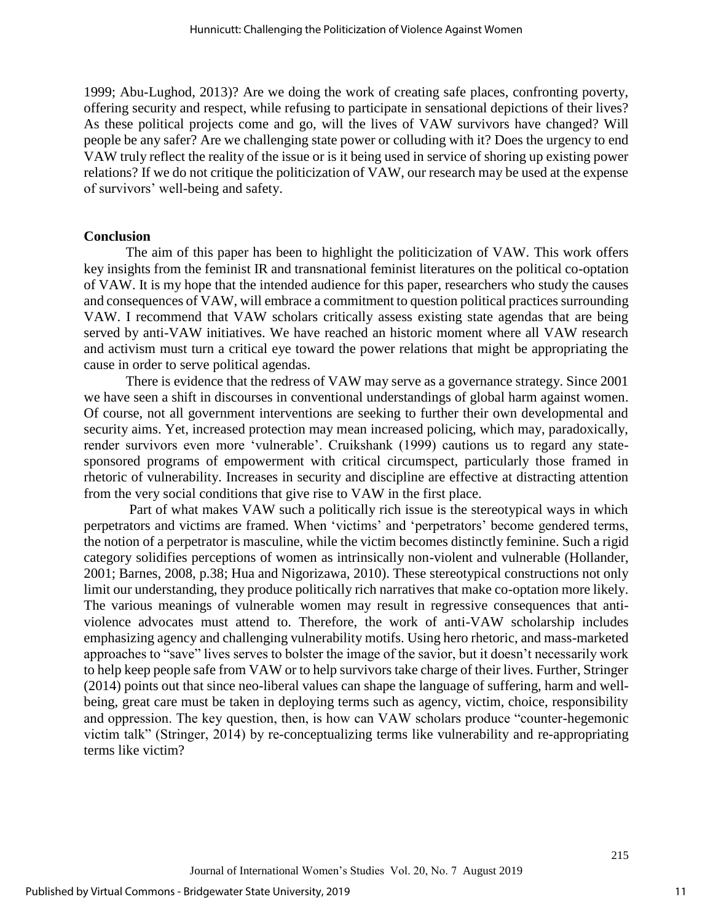1999; Abu-Lughod, 2013)? Are we doing the work of creating safe places, confronting poverty, offering security and respect, while refusing to participate in sensational depictions of their lives? As these political projects come and go, will the lives of VAW survivors have changed? Will people be any safer? Are we challenging state power or colluding with it? Does the urgency to end VAW truly reflect the reality of the issue or is it being used in service of shoring up existing power relations? If we do not critique the politicization of VAW, our research may be used at the expense of survivors' well-being and safety.

#### **Conclusion**

The aim of this paper has been to highlight the politicization of VAW. This work offers key insights from the feminist IR and transnational feminist literatures on the political co-optation of VAW. It is my hope that the intended audience for this paper, researchers who study the causes and consequences of VAW, will embrace a commitment to question political practices surrounding VAW. I recommend that VAW scholars critically assess existing state agendas that are being served by anti-VAW initiatives. We have reached an historic moment where all VAW research and activism must turn a critical eye toward the power relations that might be appropriating the cause in order to serve political agendas.

There is evidence that the redress of VAW may serve as a governance strategy. Since 2001 we have seen a shift in discourses in conventional understandings of global harm against women. Of course, not all government interventions are seeking to further their own developmental and security aims. Yet, increased protection may mean increased policing, which may, paradoxically, render survivors even more 'vulnerable'. Cruikshank (1999) cautions us to regard any statesponsored programs of empowerment with critical circumspect, particularly those framed in rhetoric of vulnerability. Increases in security and discipline are effective at distracting attention from the very social conditions that give rise to VAW in the first place.

Part of what makes VAW such a politically rich issue is the stereotypical ways in which perpetrators and victims are framed. When 'victims' and 'perpetrators' become gendered terms, the notion of a perpetrator is masculine, while the victim becomes distinctly feminine. Such a rigid category solidifies perceptions of women as intrinsically non-violent and vulnerable (Hollander, 2001; Barnes, 2008, p.38; Hua and Nigorizawa, 2010). These stereotypical constructions not only limit our understanding, they produce politically rich narratives that make co-optation more likely. The various meanings of vulnerable women may result in regressive consequences that antiviolence advocates must attend to. Therefore, the work of anti-VAW scholarship includes emphasizing agency and challenging vulnerability motifs. Using hero rhetoric, and mass-marketed approaches to "save" lives serves to bolster the image of the savior, but it doesn't necessarily work to help keep people safe from VAW or to help survivors take charge of their lives. Further, Stringer (2014) points out that since neo-liberal values can shape the language of suffering, harm and wellbeing, great care must be taken in deploying terms such as agency, victim, choice, responsibility and oppression. The key question, then, is how can VAW scholars produce "counter-hegemonic victim talk" (Stringer, 2014) by re-conceptualizing terms like vulnerability and re-appropriating terms like victim?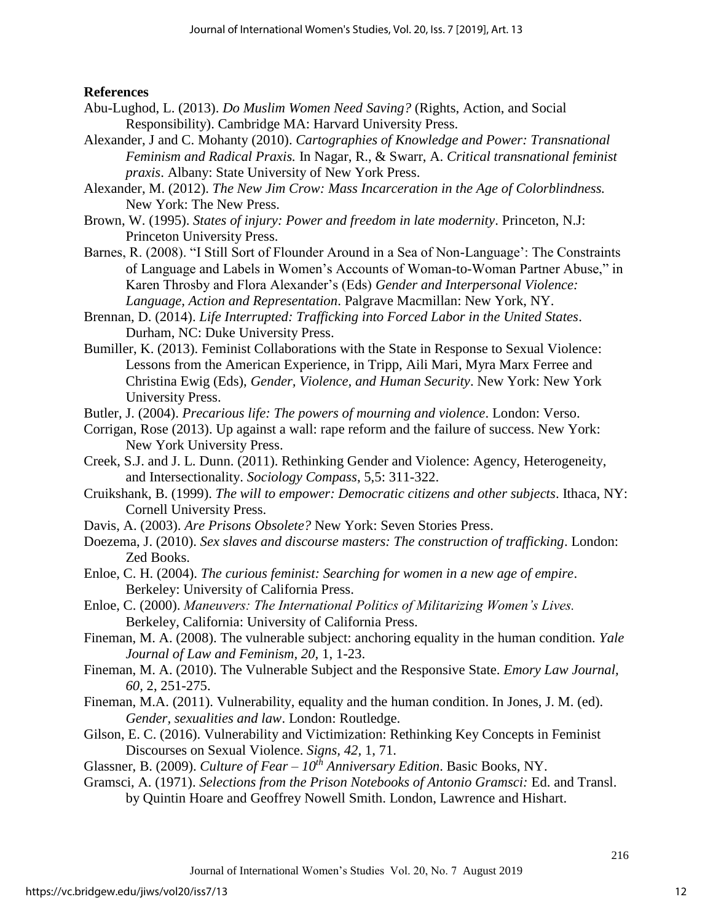# **References**

- Abu-Lughod, L. (2013). *Do Muslim Women Need Saving?* (Rights, Action, and Social Responsibility). Cambridge MA: Harvard University Press.
- Alexander, J and C. Mohanty (2010). *Cartographies of Knowledge and Power: Transnational Feminism and Radical Praxis.* In Nagar, R., & Swarr, A. *Critical transnational feminist praxis*. Albany: State University of New York Press.
- Alexander, M. (2012). *The New Jim Crow: Mass Incarceration in the Age of Colorblindness.* New York: The New Press.
- Brown, W. (1995). *States of injury: Power and freedom in late modernity*. Princeton, N.J: Princeton University Press.
- Barnes, R. (2008). "I Still Sort of Flounder Around in a Sea of Non-Language': The Constraints of Language and Labels in Women's Accounts of Woman-to-Woman Partner Abuse," in Karen Throsby and Flora Alexander's (Eds) *Gender and Interpersonal Violence: Language, Action and Representation*. Palgrave Macmillan: New York, NY.
- Brennan, D. (2014). *Life Interrupted: Trafficking into Forced Labor in the United States*. Durham, NC: Duke University Press.
- Bumiller, K. (2013). Feminist Collaborations with the State in Response to Sexual Violence: Lessons from the American Experience, in Tripp, Aili Mari, Myra Marx Ferree and Christina Ewig (Eds), *Gender, Violence, and Human Security*. New York: New York University Press.
- Butler, J. (2004). *Precarious life: The powers of mourning and violence*. London: Verso.
- Corrigan, Rose (2013). Up against a wall: rape reform and the failure of success. New York: New York University Press.
- Creek, S.J. and J. L. Dunn. (2011). Rethinking Gender and Violence: Agency, Heterogeneity, and Intersectionality. *Sociology Compass*, 5,5: 311-322.
- Cruikshank, B. (1999). *The will to empower: Democratic citizens and other subjects*. Ithaca, NY: Cornell University Press.
- Davis, A. (2003). *Are Prisons Obsolete?* New York: Seven Stories Press.
- Doezema, J. (2010). *Sex slaves and discourse masters: The construction of trafficking*. London: Zed Books.
- Enloe, C. H. (2004). *The curious feminist: Searching for women in a new age of empire*. Berkeley: University of California Press.
- Enloe, C. (2000). *Maneuvers: The International Politics of Militarizing Women's Lives.* Berkeley, California: University of California Press.
- Fineman, M. A. (2008). The vulnerable subject: anchoring equality in the human condition. *Yale Journal of Law and Feminism, 20,* 1, 1-23.
- Fineman, M. A. (2010). The Vulnerable Subject and the Responsive State. *Emory Law Journal, 60,* 2, 251-275.
- Fineman, M.A. (2011). Vulnerability, equality and the human condition. In Jones, J. M. (ed). *Gender, sexualities and law*. London: Routledge.
- Gilson, E. C. (2016). Vulnerability and Victimization: Rethinking Key Concepts in Feminist Discourses on Sexual Violence. *Signs, 42,* 1, 71.
- Glassner, B. (2009). *Culture of Fear – 10th Anniversary Edition*. Basic Books, NY.
- Gramsci, A. (1971). *Selections from the Prison Notebooks of Antonio Gramsci:* Ed. and Transl.
	- by Quintin Hoare and Geoffrey Nowell Smith. London, Lawrence and Hishart.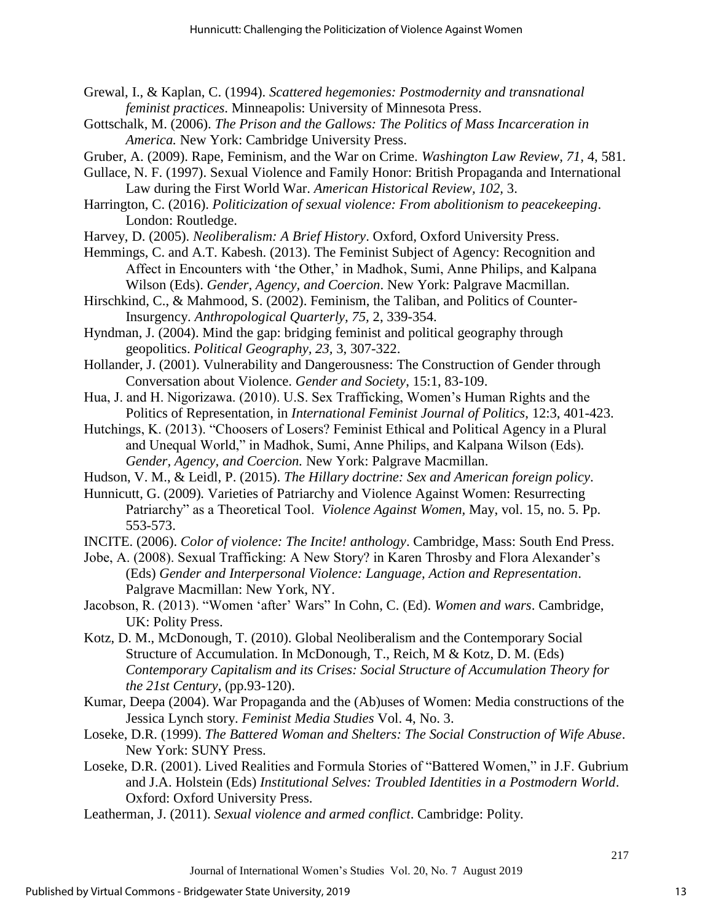- Grewal, I., & Kaplan, C. (1994). *Scattered hegemonies: Postmodernity and transnational feminist practices*. Minneapolis: University of Minnesota Press.
- Gottschalk, M. (2006). *The Prison and the Gallows: The Politics of Mass Incarceration in America.* New York: Cambridge University Press.
- Gruber, A. (2009). Rape, Feminism, and the War on Crime. *Washington Law Review, 71,* 4, 581.
- Gullace, N. F. (1997). Sexual Violence and Family Honor: British Propaganda and International Law during the First World War. *American Historical Review, 102,* 3.
- Harrington, C. (2016). *Politicization of sexual violence: From abolitionism to peacekeeping*. London: Routledge.
- Harvey, D. (2005). *Neoliberalism: A Brief History*. Oxford, Oxford University Press.
- Hemmings, C. and A.T. Kabesh. (2013). The Feminist Subject of Agency: Recognition and Affect in Encounters with 'the Other,' in Madhok, Sumi, Anne Philips, and Kalpana Wilson (Eds). *Gender, Agency, and Coercion*. New York: Palgrave Macmillan.
- Hirschkind, C., & Mahmood, S. (2002). Feminism, the Taliban, and Politics of Counter-Insurgency. *Anthropological Quarterly, 75,* 2, 339-354.
- Hyndman, J. (2004). Mind the gap: bridging feminist and political geography through geopolitics. *Political Geography, 23,* 3, 307-322.
- Hollander, J. (2001). Vulnerability and Dangerousness: The Construction of Gender through Conversation about Violence. *Gender and Society*, 15:1, 83-109.
- Hua, J. and H. Nigorizawa. (2010). U.S. Sex Trafficking, Women's Human Rights and the Politics of Representation, in *International Feminist Journal of Politics*, 12:3, 401-423.
- Hutchings, K. (2013). "Choosers of Losers? Feminist Ethical and Political Agency in a Plural and Unequal World," in Madhok, Sumi, Anne Philips, and Kalpana Wilson (Eds)*. Gender, Agency, and Coercion.* New York: Palgrave Macmillan.
- Hudson, V. M., & Leidl, P. (2015). *The Hillary doctrine: Sex and American foreign policy*.
- Hunnicutt, G. (2009)*.* Varieties of Patriarchy and Violence Against Women: Resurrecting Patriarchy" as a Theoretical Tool. *Violence Against Women,* May, vol. 15, no. 5. Pp. 553-573.
- INCITE. (2006). *Color of violence: The Incite! anthology*. Cambridge, Mass: South End Press.
- Jobe, A. (2008). Sexual Trafficking: A New Story? in Karen Throsby and Flora Alexander's (Eds) *Gender and Interpersonal Violence: Language, Action and Representation*. Palgrave Macmillan: New York, NY.
- Jacobson, R. (2013). "Women 'after' Wars" In Cohn, C. (Ed). *Women and wars*. Cambridge, UK: Polity Press.
- Kotz, D. M., McDonough, T. (2010). Global Neoliberalism and the Contemporary Social Structure of Accumulation. In McDonough, T., Reich, M & Kotz, D. M. (Eds) *Contemporary Capitalism and its Crises: Social Structure of Accumulation Theory for the 21st Century*, (pp.93-120).
- Kumar, Deepa (2004). War Propaganda and the (Ab)uses of Women: Media constructions of the Jessica Lynch story. *Feminist Media Studies* Vol. 4, No. 3.
- Loseke, D.R. (1999). *The Battered Woman and Shelters: The Social Construction of Wife Abuse*. New York: SUNY Press.
- Loseke, D.R. (2001). Lived Realities and Formula Stories of "Battered Women," in J.F. Gubrium and J.A. Holstein (Eds) *Institutional Selves: Troubled Identities in a Postmodern World*. Oxford: Oxford University Press.
- Leatherman, J. (2011). *Sexual violence and armed conflict*. Cambridge: Polity.